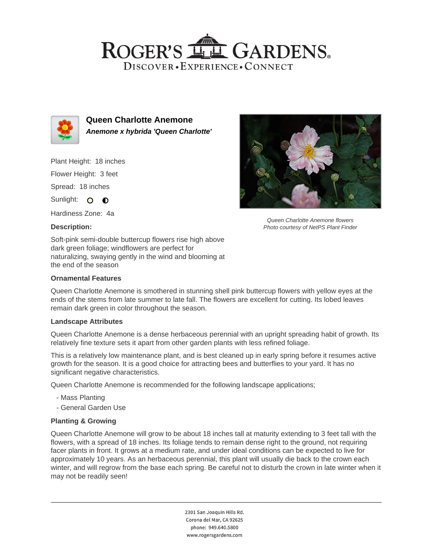# ROGER'S **LL GARDENS** DISCOVER · EXPERIENCE · CONNECT



**Queen Charlotte Anemone Anemone x hybrida 'Queen Charlotte'**

Plant Height: 18 inches

Flower Height: 3 feet

Spread: 18 inches

Sunlight: O **O** 

Hardiness Zone: 4a

## **Description:**

Soft-pink semi-double buttercup flowers rise high above dark green foliage; windflowers are perfect for naturalizing, swaying gently in the wind and blooming at the end of the season

## **Ornamental Features**

Queen Charlotte Anemone is smothered in stunning shell pink buttercup flowers with yellow eyes at the ends of the stems from late summer to late fall. The flowers are excellent for cutting. Its lobed leaves remain dark green in color throughout the season.

### **Landscape Attributes**

Queen Charlotte Anemone is a dense herbaceous perennial with an upright spreading habit of growth. Its relatively fine texture sets it apart from other garden plants with less refined foliage.

This is a relatively low maintenance plant, and is best cleaned up in early spring before it resumes active growth for the season. It is a good choice for attracting bees and butterflies to your yard. It has no significant negative characteristics.

Queen Charlotte Anemone is recommended for the following landscape applications;

- Mass Planting
- General Garden Use

## **Planting & Growing**

Queen Charlotte Anemone will grow to be about 18 inches tall at maturity extending to 3 feet tall with the flowers, with a spread of 18 inches. Its foliage tends to remain dense right to the ground, not requiring facer plants in front. It grows at a medium rate, and under ideal conditions can be expected to live for approximately 10 years. As an herbaceous perennial, this plant will usually die back to the crown each winter, and will regrow from the base each spring. Be careful not to disturb the crown in late winter when it may not be readily seen!

> 2301 San Joaquin Hills Rd. Corona del Mar, CA 92625 phone: 949.640.5800 www.rogersgardens.com



Queen Charlotte Anemone flowers Photo courtesy of NetPS Plant Finder